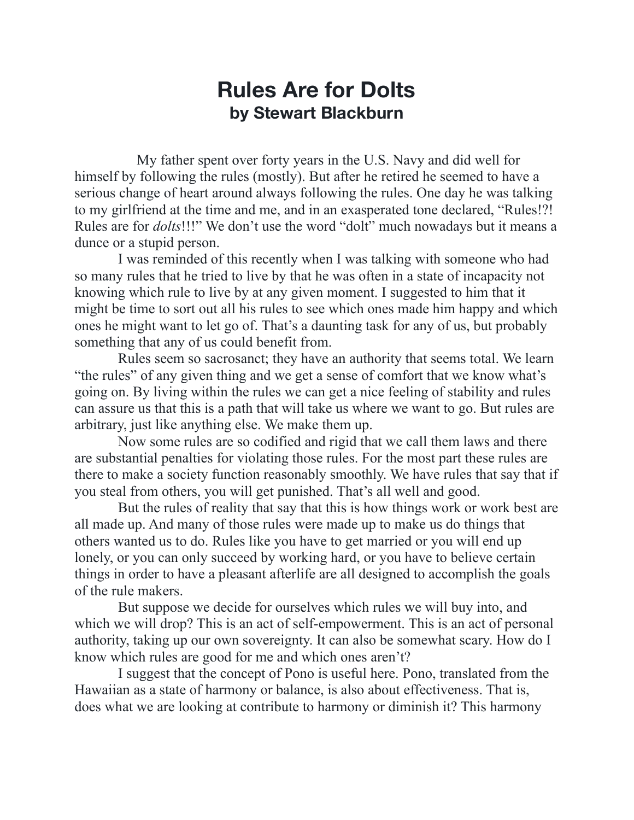## **Rules Are for Dolts by Stewart Blackburn**

 My father spent over forty years in the U.S. Navy and did well for himself by following the rules (mostly). But after he retired he seemed to have a serious change of heart around always following the rules. One day he was talking to my girlfriend at the time and me, and in an exasperated tone declared, "Rules!?! Rules are for *dolts*!!!" We don't use the word "dolt" much nowadays but it means a dunce or a stupid person.

 I was reminded of this recently when I was talking with someone who had so many rules that he tried to live by that he was often in a state of incapacity not knowing which rule to live by at any given moment. I suggested to him that it might be time to sort out all his rules to see which ones made him happy and which ones he might want to let go of. That's a daunting task for any of us, but probably something that any of us could benefit from.

 Rules seem so sacrosanct; they have an authority that seems total. We learn "the rules" of any given thing and we get a sense of comfort that we know what's going on. By living within the rules we can get a nice feeling of stability and rules can assure us that this is a path that will take us where we want to go. But rules are arbitrary, just like anything else. We make them up.

 Now some rules are so codified and rigid that we call them laws and there are substantial penalties for violating those rules. For the most part these rules are there to make a society function reasonably smoothly. We have rules that say that if you steal from others, you will get punished. That's all well and good.

 But the rules of reality that say that this is how things work or work best are all made up. And many of those rules were made up to make us do things that others wanted us to do. Rules like you have to get married or you will end up lonely, or you can only succeed by working hard, or you have to believe certain things in order to have a pleasant afterlife are all designed to accomplish the goals of the rule makers.

 But suppose we decide for ourselves which rules we will buy into, and which we will drop? This is an act of self-empowerment. This is an act of personal authority, taking up our own sovereignty. It can also be somewhat scary. How do I know which rules are good for me and which ones aren't?

 I suggest that the concept of Pono is useful here. Pono, translated from the Hawaiian as a state of harmony or balance, is also about effectiveness. That is, does what we are looking at contribute to harmony or diminish it? This harmony